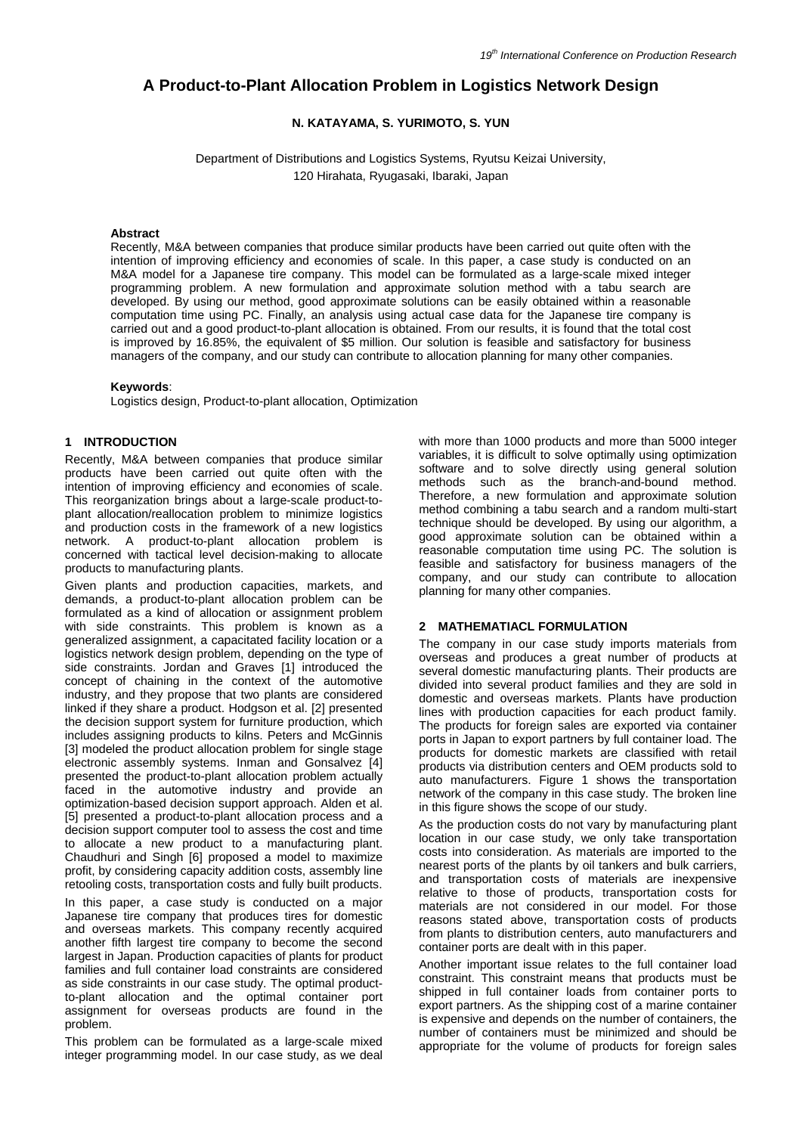# **A Product-to-Plant Allocation Problem in Logistics Network Design**

# **N. KATAYAMA, S. YURIMOTO, S. YUN**

Department of Distributions and Logistics Systems, Ryutsu Keizai University,

120 Hirahata, Ryugasaki, Ibaraki, Japan

# **Abstract**

Recently, M&A between companies that produce similar products have been carried out quite often with the intention of improving efficiency and economies of scale. In this paper, a case study is conducted on an M&A model for a Japanese tire company. This model can be formulated as a large-scale mixed integer programming problem. A new formulation and approximate solution method with a tabu search are developed. By using our method, good approximate solutions can be easily obtained within a reasonable computation time using PC. Finally, an analysis using actual case data for the Japanese tire company is carried out and a good product-to-plant allocation is obtained. From our results, it is found that the total cost is improved by 16.85%, the equivalent of \$5 million. Our solution is feasible and satisfactory for business managers of the company, and our study can contribute to allocation planning for many other companies.

# **Keywords**:

Logistics design, Product-to-plant allocation, Optimization

# **1 INTRODUCTION**

Recently, M&A between companies that produce similar products have been carried out quite often with the intention of improving efficiency and economies of scale. This reorganization brings about a large-scale product-toplant allocation/reallocation problem to minimize logistics and production costs in the framework of a new logistics network. A product-to-plant allocation problem is concerned with tactical level decision-making to allocate products to manufacturing plants.

Given plants and production capacities, markets, and demands, a product-to-plant allocation problem can be formulated as a kind of allocation or assignment problem with side constraints. This problem is known as a generalized assignment, a capacitated facility location or a logistics network design problem, depending on the type of side constraints. Jordan and Graves [1] introduced the concept of chaining in the context of the automotive industry, and they propose that two plants are considered linked if they share a product. Hodgson et al. [2] presented the decision support system for furniture production, which includes assigning products to kilns. Peters and McGinnis [3] modeled the product allocation problem for single stage electronic assembly systems. Inman and Gonsalvez [4] presented the product-to-plant allocation problem actually faced in the automotive industry and provide an optimization-based decision support approach. Alden et al. [5] presented a product-to-plant allocation process and a decision support computer tool to assess the cost and time to allocate a new product to a manufacturing plant. Chaudhuri and Singh [6] proposed a model to maximize profit, by considering capacity addition costs, assembly line retooling costs, transportation costs and fully built products.

In this paper, a case study is conducted on a major Japanese tire company that produces tires for domestic and overseas markets. This company recently acquired another fifth largest tire company to become the second largest in Japan. Production capacities of plants for product families and full container load constraints are considered as side constraints in our case study. The optimal productto-plant allocation and the optimal container port assignment for overseas products are found in the problem.

This problem can be formulated as a large-scale mixed integer programming model. In our case study, as we deal with more than 1000 products and more than 5000 integer variables, it is difficult to solve optimally using optimization software and to solve directly using general solution methods such as the branch-and-bound method. Therefore, a new formulation and approximate solution method combining a tabu search and a random multi-start technique should be developed. By using our algorithm, a good approximate solution can be obtained within a reasonable computation time using PC. The solution is feasible and satisfactory for business managers of the company, and our study can contribute to allocation planning for many other companies.

# **2 MATHEMATIACL FORMULATION**

The company in our case study imports materials from overseas and produces a great number of products at several domestic manufacturing plants. Their products are divided into several product families and they are sold in domestic and overseas markets. Plants have production lines with production capacities for each product family. The products for foreign sales are exported via container ports in Japan to export partners by full container load. The products for domestic markets are classified with retail products via distribution centers and OEM products sold to auto manufacturers. Figure 1 shows the transportation network of the company in this case study. The broken line in this figure shows the scope of our study.

As the production costs do not vary by manufacturing plant location in our case study, we only take transportation costs into consideration. As materials are imported to the nearest ports of the plants by oil tankers and bulk carriers, and transportation costs of materials are inexpensive relative to those of products, transportation costs for materials are not considered in our model. For those reasons stated above, transportation costs of products from plants to distribution centers, auto manufacturers and container ports are dealt with in this paper.

Another important issue relates to the full container load constraint. This constraint means that products must be shipped in full container loads from container ports to export partners. As the shipping cost of a marine container is expensive and depends on the number of containers, the number of containers must be minimized and should be appropriate for the volume of products for foreign sales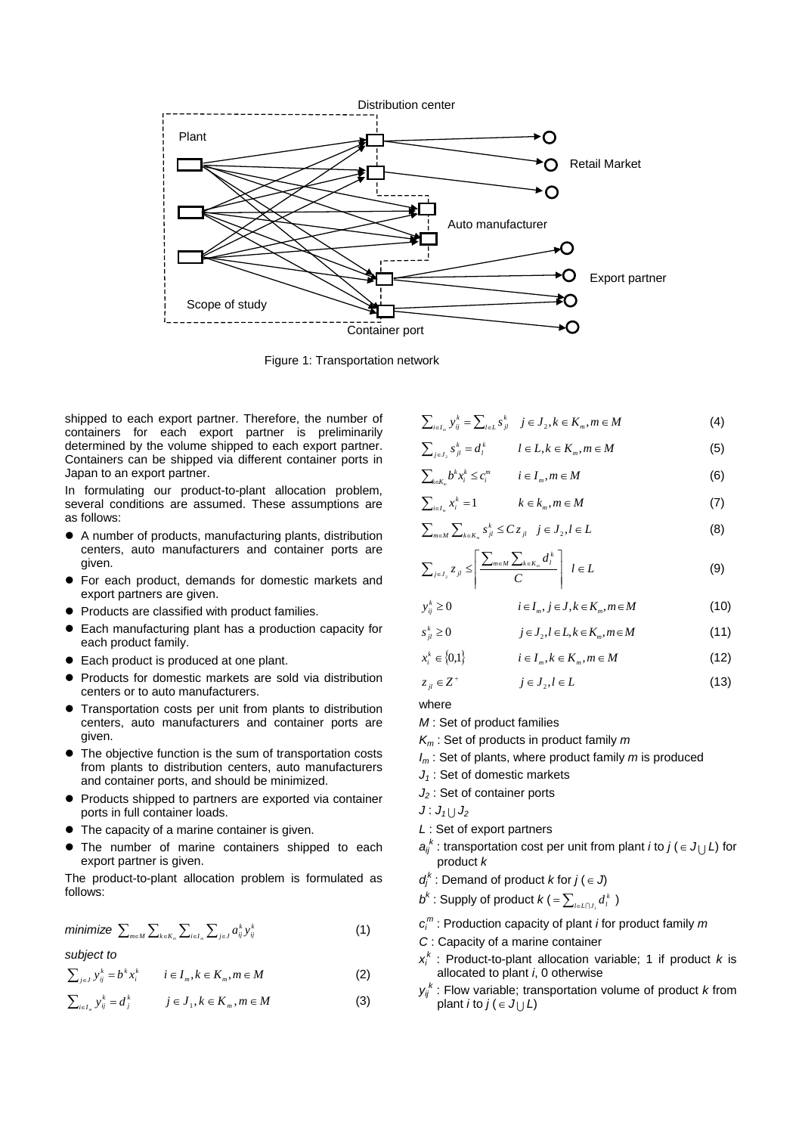

Figure 1: Transportation network

shipped to each export partner. Therefore, the number of containers for each export partner is preliminarily determined by the volume shipped to each export partner. Containers can be shipped via different container ports in Japan to an export partner.

In formulating our product-to-plant allocation problem, several conditions are assumed. These assumptions are as follows:

- A number of products, manufacturing plants, distribution centers, auto manufacturers and container ports are given.
- For each product, demands for domestic markets and export partners are given.
- Products are classified with product families.
- Each manufacturing plant has a production capacity for each product family.
- Each product is produced at one plant.
- Products for domestic markets are sold via distribution centers or to auto manufacturers.
- Transportation costs per unit from plants to distribution centers, auto manufacturers and container ports are given.
- The objective function is the sum of transportation costs from plants to distribution centers, auto manufacturers and container ports, and should be minimized.
- Products shipped to partners are exported via container ports in full container loads.
- The capacity of a marine container is given.
- The number of marine containers shipped to each export partner is given.

The product-to-plant allocation problem is formulated as follows:

$$
\text{minimize } \sum_{m \in M} \sum_{k \in K_m} \sum_{i \in I_m} \sum_{j \in J} a_{ij}^k y_{ij}^k \tag{1}
$$

*subject to*

$$
\sum_{j\in J} y_{ij}^k = b^k x_i^k \qquad i \in I_m, k \in K_m, m \in M
$$
 (2)

$$
\sum_{i\in I_n} y^k_{ij} = d^k_j \qquad j \in J_1, k \in K_m, m \in M \tag{3}
$$

 $\sum_{i \in I_m} y_{ij}^k = \sum_{l \in L} s_{jl}^k$   $j \in J_2, k \in K_m, m \in M$  (4)

$$
\sum_{j\in J_2} s_{jl}^k = d_l^k \qquad l \in L, k \in K_m, m \in M \tag{5}
$$

$$
\sum_{k \in K_m} b^k x_i^k \le c_i^m \qquad i \in I_m, m \in M \tag{6}
$$

$$
\sum_{i\in I_n} x_i^k = 1 \qquad k \in k_m, m \in M \tag{7}
$$

$$
\sum_{m \in M} \sum_{k \in K_n} s_{jl}^k \le C z_{jl} \quad j \in J_2, l \in L \tag{8}
$$

$$
\sum_{j\in J_1} z_{jl} \le \left| \frac{\sum_{m\in M} \sum_{k\in K_m} d_l^k}{C} \right| l \in L \tag{9}
$$

$$
y_{ij}^k \ge 0 \qquad i \in I_m, j \in J, k \in K_m, m \in M \qquad (10)
$$

$$
s_{jl}^k \ge 0 \qquad j \in J_2, l \in L, k \in K_m, m \in M \qquad (11)
$$

$$
x_i^k \in \{0,1\} \qquad i \in I_m, k \in K_m, m \in M \tag{12}
$$

$$
z_{ji} \in Z^+ \qquad j \in J_2, l \in L \tag{13}
$$

where

- *M* : Set of product families
- *Km* : Set of products in product family *m*
- *Im* : Set of plants, where product family *m* is produced
- *J1* : Set of domestic markets
- *J2* : Set of container ports
- $J: J_1 \cup J_2$
- *L* : Set of export partners
- $a_{ij}^k$ : transportation cost per unit from plant *i* to  $j$  ( $\in J_U L$ ) for product *k*
- $d_j^k$ : Demand of product *k* for  $j \in J$
- $b^k$  : Supply of product  $k$  ( =  $\sum_{l \in L \cap J_i} d_l^k$  )
- *ci <sup>m</sup>* : Production capacity of plant *i* for product family *m*
- *C* : Capacity of a marine container
- $x_i^k$ : Product-to-plant allocation variable; 1 if product  $k$  is allocated to plant *i*, 0 otherwise
- *yij k* : Flow variable; transportation volume of product *k* from plant *i* to  $j$  ( $\in$   $J_{\vert \vert}$   $L$ )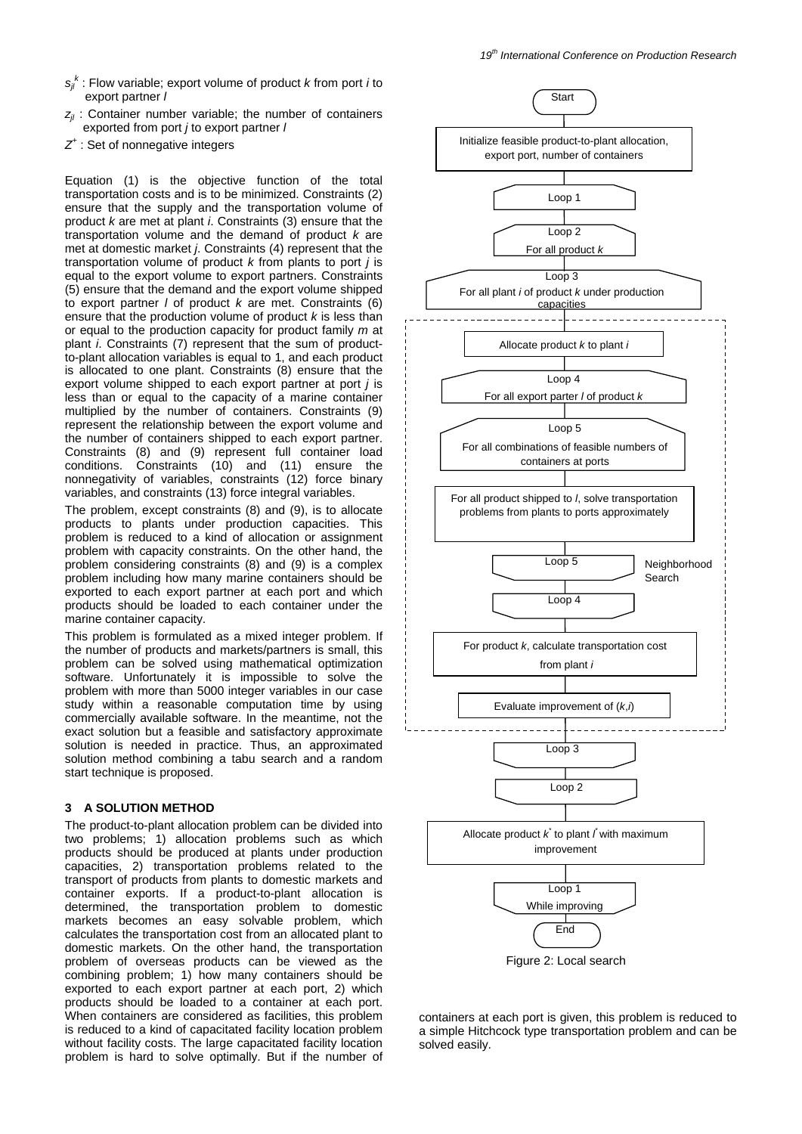- *sjl k* : Flow variable; export volume of product *k* from port *i* to export partner *l*
- *z<sub>il</sub>* : Container number variable; the number of containers exported from port *j* to export partner *l*
- *Z+* : Set of nonnegative integers

Equation (1) is the objective function of the total transportation costs and is to be minimized. Constraints (2) ensure that the supply and the transportation volume of product *k* are met at plant *i*. Constraints (3) ensure that the transportation volume and the demand of product *k* are met at domestic market *j*. Constraints (4) represent that the transportation volume of product *k* from plants to port *j* is equal to the export volume to export partners. Constraints (5) ensure that the demand and the export volume shipped to export partner *l* of product *k* are met. Constraints (6) ensure that the production volume of product *k* is less than or equal to the production capacity for product family *m* at plant *i*. Constraints (7) represent that the sum of productto-plant allocation variables is equal to 1, and each product is allocated to one plant. Constraints (8) ensure that the export volume shipped to each export partner at port *j* is less than or equal to the capacity of a marine container multiplied by the number of containers. Constraints (9) represent the relationship between the export volume and the number of containers shipped to each export partner. Constraints (8) and (9) represent full container load conditions. Constraints (10) and (11) ensure the nonnegativity of variables, constraints (12) force binary variables, and constraints (13) force integral variables.

The problem, except constraints (8) and (9), is to allocate products to plants under production capacities. This problem is reduced to a kind of allocation or assignment problem with capacity constraints. On the other hand, the problem considering constraints (8) and (9) is a complex problem including how many marine containers should be exported to each export partner at each port and which products should be loaded to each container under the marine container capacity.

This problem is formulated as a mixed integer problem. If the number of products and markets/partners is small, this problem can be solved using mathematical optimization software. Unfortunately it is impossible to solve the problem with more than 5000 integer variables in our case study within a reasonable computation time by using commercially available software. In the meantime, not the exact solution but a feasible and satisfactory approximate solution is needed in practice. Thus, an approximated solution method combining a tabu search and a random start technique is proposed.

# **3 A SOLUTION METHOD**

The product-to-plant allocation problem can be divided into two problems; 1) allocation problems such as which products should be produced at plants under production capacities, 2) transportation problems related to the transport of products from plants to domestic markets and container exports. If a product-to-plant allocation is determined, the transportation problem to domestic markets becomes an easy solvable problem, which calculates the transportation cost from an allocated plant to domestic markets. On the other hand, the transportation problem of overseas products can be viewed as the combining problem; 1) how many containers should be exported to each export partner at each port, 2) which products should be loaded to a container at each port. When containers are considered as facilities, this problem is reduced to a kind of capacitated facility location problem without facility costs. The large capacitated facility location problem is hard to solve optimally. But if the number of



Figure 2: Local search

containers at each port is given, this problem is reduced to a simple Hitchcock type transportation problem and can be solved easily.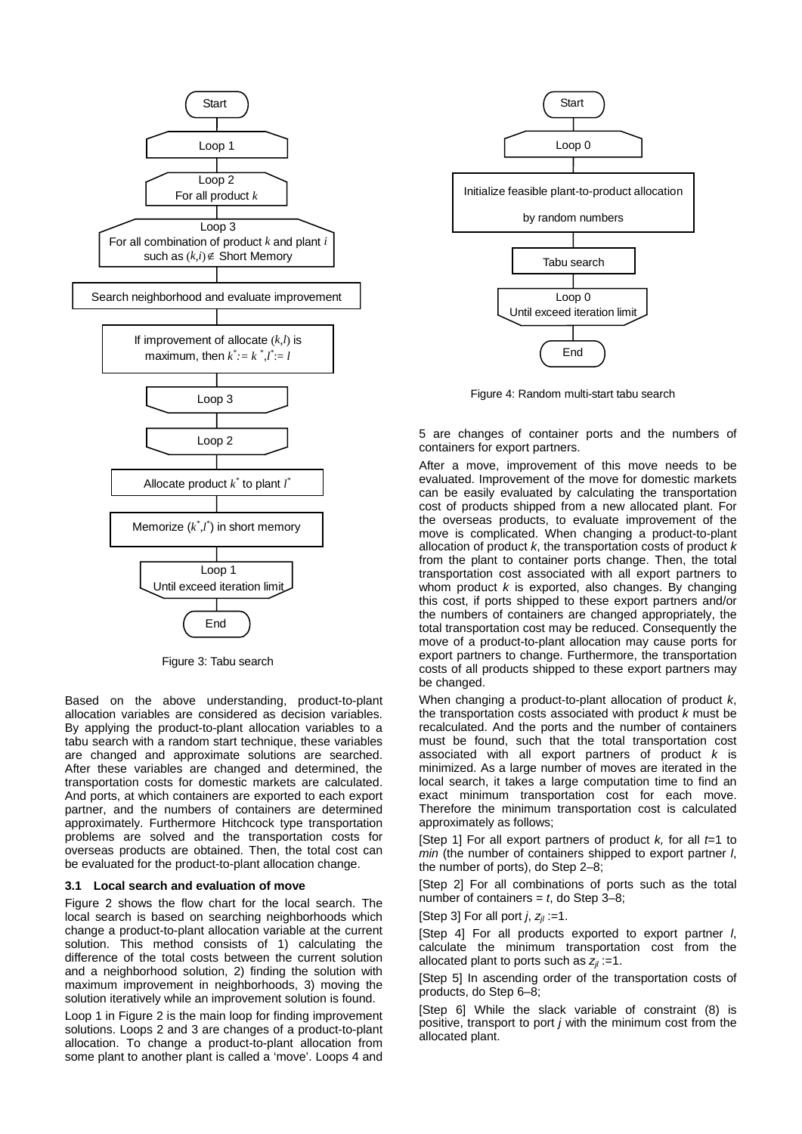

Figure 3: Tabu search

Based on the above understanding, product-to-plant allocation variables are considered as decision variables. By applying the product-to-plant allocation variables to a tabu search with a random start technique, these variables are changed and approximate solutions are searched. After these variables are changed and determined, the transportation costs for domestic markets are calculated. And ports, at which containers are exported to each export partner, and the numbers of containers are determined approximately. Furthermore Hitchcock type transportation problems are solved and the transportation costs for overseas products are obtained. Then, the total cost can be evaluated for the product-to-plant allocation change.

#### **3.1 Local search and evaluation of move**

Figure 2 shows the flow chart for the local search. The local search is based on searching neighborhoods which change a product-to-plant allocation variable at the current solution. This method consists of 1) calculating the difference of the total costs between the current solution and a neighborhood solution, 2) finding the solution with maximum improvement in neighborhoods, 3) moving the solution iteratively while an improvement solution is found.

Loop 1 in Figure 2 is the main loop for finding improvement solutions. Loops 2 and 3 are changes of a product-to-plant allocation. To change a product-to-plant allocation from some plant to another plant is called a 'move'. Loops 4 and



Figure 4: Random multi-start tabu search

5 are changes of container ports and the numbers of containers for export partners.

After a move, improvement of this move needs to be evaluated. Improvement of the move for domestic markets can be easily evaluated by calculating the transportation cost of products shipped from a new allocated plant. For the overseas products, to evaluate improvement of the move is complicated. When changing a product-to-plant allocation of product *k*, the transportation costs of product *k* from the plant to container ports change. Then, the total transportation cost associated with all export partners to whom product *k* is exported, also changes. By changing this cost, if ports shipped to these export partners and/or the numbers of containers are changed appropriately, the total transportation cost may be reduced. Consequently the move of a product-to-plant allocation may cause ports for export partners to change. Furthermore, the transportation costs of all products shipped to these export partners may be changed.

When changing a product-to-plant allocation of product *k*, the transportation costs associated with product *k* must be recalculated. And the ports and the number of containers must be found, such that the total transportation cost associated with all export partners of product *k* is minimized. As a large number of moves are iterated in the local search, it takes a large computation time to find an exact minimum transportation cost for each move. Therefore the minimum transportation cost is calculated approximately as follows;

[Step 1] For all export partners of product *k,* for all *t*=1 to *min* (the number of containers shipped to export partner *l*, the number of ports), do Step 2–8;

[Step 2] For all combinations of ports such as the total number of containers = *t*, do Step 3–8;

[Step 3] For all port  $j$ ,  $z_{ij}$  :=1.

[Step 4] For all products exported to export partner *l*, calculate the minimum transportation cost from the allocated plant to ports such as  $z_{ij}$  :=1.

[Step 5] In ascending order of the transportation costs of products, do Step 6–8;

[Step 6] While the slack variable of constraint (8) is positive, transport to port *j* with the minimum cost from the allocated plant.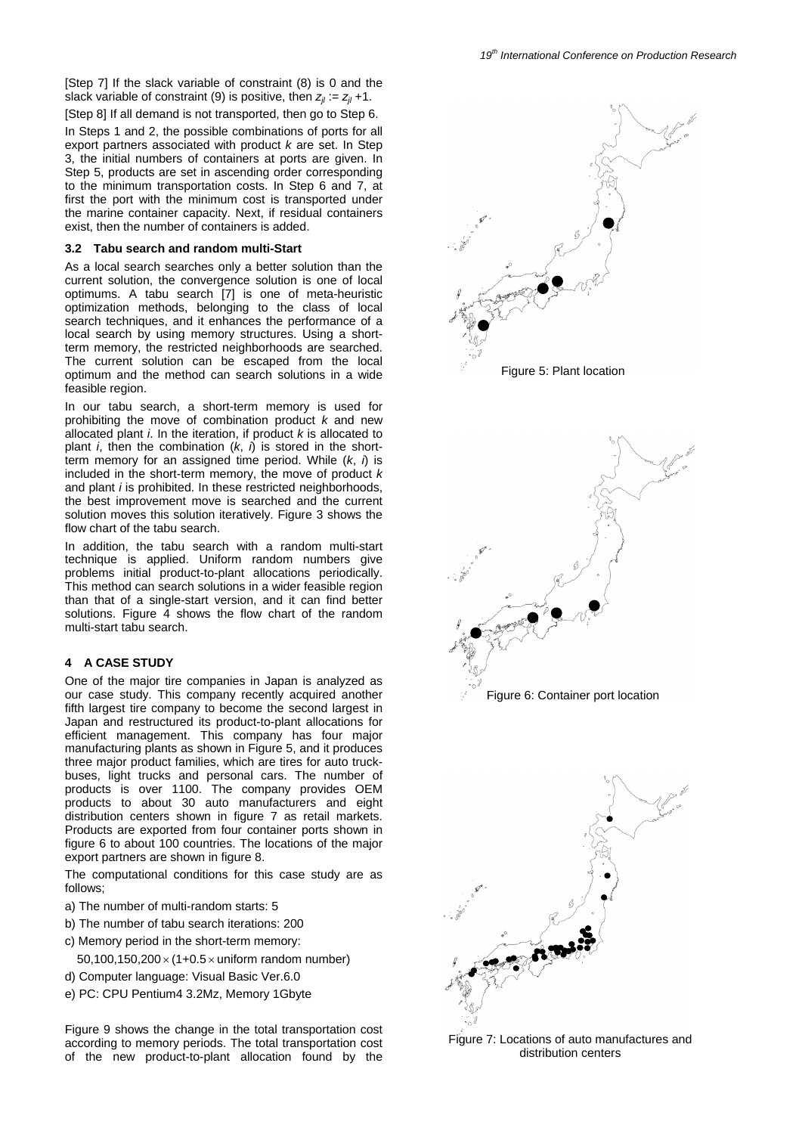In Steps 1 and 2, the possible combinations of ports for all export partners associated with product *k* are set. In Step 3, the initial numbers of containers at ports are given. In Step 5, products are set in ascending order corresponding to the minimum transportation costs. In Step 6 and 7, at first the port with the minimum cost is transported under the marine container capacity. Next, if residual containers exist, then the number of containers is added.

# **3.2 Tabu search and random multi-Start**

As a local search searches only a better solution than the current solution, the convergence solution is one of local optimums. A tabu search [7] is one of meta-heuristic optimization methods, belonging to the class of local search techniques, and it enhances the performance of a local search by using memory structures. Using a shortterm memory, the restricted neighborhoods are searched. The current solution can be escaped from the local optimum and the method can search solutions in a wide feasible region.

In our tabu search, a short-term memory is used for prohibiting the move of combination product *k* and new allocated plant *i*. In the iteration, if product *k* is allocated to plant *i*, then the combination (*k*, *i*) is stored in the shortterm memory for an assigned time period. While (*k*, *i*) is included in the short-term memory, the move of product *k* and plant *i* is prohibited. In these restricted neighborhoods, the best improvement move is searched and the current solution moves this solution iteratively. Figure 3 shows the flow chart of the tabu search.

In addition, the tabu search with a random multi-start technique is applied. Uniform random numbers give problems initial product-to-plant allocations periodically. This method can search solutions in a wider feasible region than that of a single-start version, and it can find better solutions. Figure 4 shows the flow chart of the random multi-start tabu search.

# **4 A CASE STUDY**

One of the major tire companies in Japan is analyzed as our case study. This company recently acquired another fifth largest tire company to become the second largest in Japan and restructured its product-to-plant allocations for efficient management. This company has four major manufacturing plants as shown in Figure 5, and it produces three major product families, which are tires for auto truckbuses, light trucks and personal cars. The number of products is over 1100. The company provides OEM products to about 30 auto manufacturers and eight distribution centers shown in figure 7 as retail markets. Products are exported from four container ports shown in figure 6 to about 100 countries. The locations of the major export partners are shown in figure 8.

The computational conditions for this case study are as follows;

- a) The number of multi-random starts: 5
- b) The number of tabu search iterations: 200
- c) Memory period in the short-term memory:
	- 50,100,150,200 $\times$  (1+0.5 $\times$  uniform random number)
- d) Computer language: Visual Basic Ver.6.0
- e) PC: CPU Pentium4 3.2Mz, Memory 1Gbyte

Figure 9 shows the change in the total transportation cost according to memory periods. The total transportation cost of the new product-to-plant allocation found by the



Figure 7: Locations of auto manufactures and distribution centers